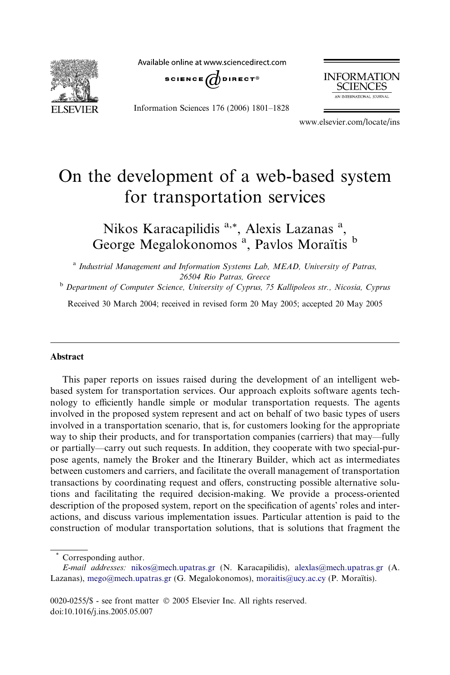

Available online at www.sciencedirect.com



Information Sciences 176 (2006) 1801–1828



www.elsevier.com/locate/ins

# On the development of a web-based system for transportation services

Nikos Karacapilidis<sup>a,\*</sup>, Alexis Lazanas<sup>a</sup>, George Megalokonomos<sup>a</sup>, Pavlos Moraïtis<sup>b</sup>

<sup>a</sup> Industrial Management and Information Systems Lab, MEAD, University of Patras, 26504 Rio Patras, Greece b Department of Computer Science, University of Cyprus, 75 Kallipoleos str., Nicosia, Cyprus

Received 30 March 2004; received in revised form 20 May 2005; accepted 20 May 2005

## Abstract

This paper reports on issues raised during the development of an intelligent webbased system for transportation services. Our approach exploits software agents technology to efficiently handle simple or modular transportation requests. The agents involved in the proposed system represent and act on behalf of two basic types of users involved in a transportation scenario, that is, for customers looking for the appropriate way to ship their products, and for transportation companies (carriers) that may—fully or partially—carry out such requests. In addition, they cooperate with two special-purpose agents, namely the Broker and the Itinerary Builder, which act as intermediates between customers and carriers, and facilitate the overall management of transportation transactions by coordinating request and offers, constructing possible alternative solutions and facilitating the required decision-making. We provide a process-oriented description of the proposed system, report on the specification of agents' roles and interactions, and discuss various implementation issues. Particular attention is paid to the construction of modular transportation solutions, that is solutions that fragment the

\* Corresponding author.

E-mail addresses: [nikos@mech.upatras.gr](mailto:nikos@mech.upatras.gr) (N. Karacapilidis), [alexlas@mech.upatras.gr](mailto:alexlas@mech.upatras.gr) (A. Lazanas), [mego@mech.upatras.gr](mailto:mego@mech.upatras.gr) (G. Megalokonomos), [moraitis@ucy.ac.cy](mailto:moraitis@ucy.ac.cy) (P. Moraïtis).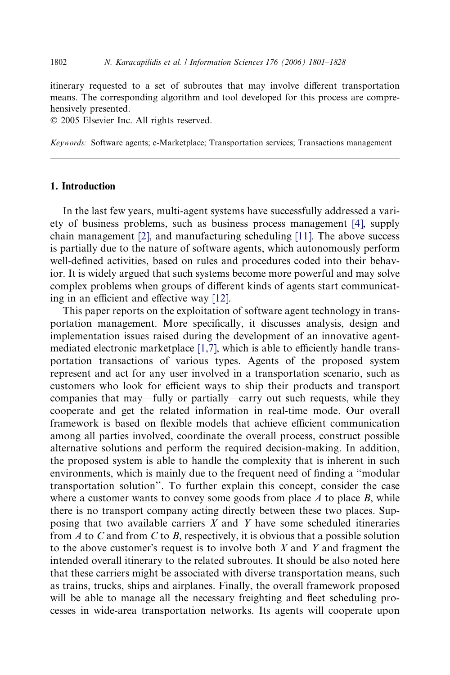itinerary requested to a set of subroutes that may involve different transportation means. The corresponding algorithm and tool developed for this process are comprehensively presented.

© 2005 Elsevier Inc. All rights reserved.

Keywords: Software agents; e-Marketplace; Transportation services; Transactions management

## 1. Introduction

In the last few years, multi-agent systems have successfully addressed a variety of business problems, such as business process management [\[4\]](#page-26-0), supply chain management [\[2\],](#page-26-0) and manufacturing scheduling [\[11\].](#page-27-0) The above success is partially due to the nature of software agents, which autonomously perform well-defined activities, based on rules and procedures coded into their behavior. It is widely argued that such systems become more powerful and may solve complex problems when groups of different kinds of agents start communicating in an efficient and effective way [\[12\].](#page-27-0)

This paper reports on the exploitation of software agent technology in transportation management. More specifically, it discusses analysis, design and implementation issues raised during the development of an innovative agentmediated electronic marketplace [\[1,7\]](#page-26-0), which is able to efficiently handle transportation transactions of various types. Agents of the proposed system represent and act for any user involved in a transportation scenario, such as customers who look for efficient ways to ship their products and transport companies that may—fully or partially—carry out such requests, while they cooperate and get the related information in real-time mode. Our overall framework is based on flexible models that achieve efficient communication among all parties involved, coordinate the overall process, construct possible alternative solutions and perform the required decision-making. In addition, the proposed system is able to handle the complexity that is inherent in such environments, which is mainly due to the frequent need of finding a ''modular transportation solution''. To further explain this concept, consider the case where a customer wants to convey some goods from place  $A$  to place  $B$ , while there is no transport company acting directly between these two places. Supposing that two available carriers  $X$  and  $Y$  have some scheduled itineraries from A to C and from C to B, respectively, it is obvious that a possible solution to the above customer's request is to involve both  $X$  and  $Y$  and fragment the intended overall itinerary to the related subroutes. It should be also noted here that these carriers might be associated with diverse transportation means, such as trains, trucks, ships and airplanes. Finally, the overall framework proposed will be able to manage all the necessary freighting and fleet scheduling processes in wide-area transportation networks. Its agents will cooperate upon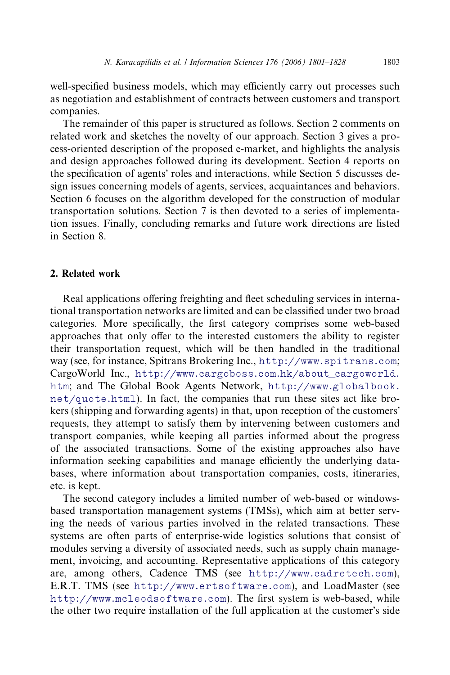well-specified business models, which may efficiently carry out processes such as negotiation and establishment of contracts between customers and transport companies.

The remainder of this paper is structured as follows. Section 2 comments on related work and sketches the novelty of our approach. Section 3 gives a process-oriented description of the proposed e-market, and highlights the analysis and design approaches followed during its development. Section 4 reports on the specification of agents' roles and interactions, while Section 5 discusses design issues concerning models of agents, services, acquaintances and behaviors. Section 6 focuses on the algorithm developed for the construction of modular transportation solutions. Section 7 is then devoted to a series of implementation issues. Finally, concluding remarks and future work directions are listed in Section 8.

# 2. Related work

Real applications offering freighting and fleet scheduling services in international transportation networks are limited and can be classified under two broad categories. More specifically, the first category comprises some web-based approaches that only offer to the interested customers the ability to register their transportation request, which will be then handled in the traditional way (see, for instance, Spitrans Brokering Inc., <http://www.spitrans.com>; CargoWorld Inc., [http://www.cargoboss.com.hk/about](http://www.cargoboss.com.hk/about_cargoworld.htm)\_cargoworld. [htm](http://www.cargoboss.com.hk/about_cargoworld.htm); and The Global Book Agents Network, [http://www.globalbook.](http://www.globalbook.net/quote.html) [net/quote.html](http://www.globalbook.net/quote.html)). In fact, the companies that run these sites act like brokers (shipping and forwarding agents) in that, upon reception of the customers' requests, they attempt to satisfy them by intervening between customers and transport companies, while keeping all parties informed about the progress of the associated transactions. Some of the existing approaches also have information seeking capabilities and manage efficiently the underlying databases, where information about transportation companies, costs, itineraries, etc. is kept.

The second category includes a limited number of web-based or windowsbased transportation management systems (TMSs), which aim at better serving the needs of various parties involved in the related transactions. These systems are often parts of enterprise-wide logistics solutions that consist of modules serving a diversity of associated needs, such as supply chain management, invoicing, and accounting. Representative applications of this category are, among others, Cadence TMS (see <http://www.cadretech.com>), E.R.T. TMS (see <http://www.ertsoftware.com>), and LoadMaster (see <http://www.mcleodsoftware.com>). The first system is web-based, while the other two require installation of the full application at the customer's side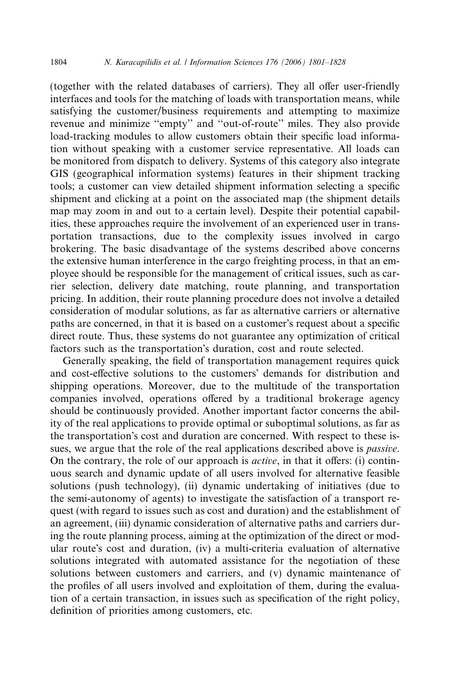(together with the related databases of carriers). They all offer user-friendly interfaces and tools for the matching of loads with transportation means, while satisfying the customer/business requirements and attempting to maximize revenue and minimize ''empty'' and ''out-of-route'' miles. They also provide load-tracking modules to allow customers obtain their specific load information without speaking with a customer service representative. All loads can be monitored from dispatch to delivery. Systems of this category also integrate GIS (geographical information systems) features in their shipment tracking tools; a customer can view detailed shipment information selecting a specific shipment and clicking at a point on the associated map (the shipment details map may zoom in and out to a certain level). Despite their potential capabilities, these approaches require the involvement of an experienced user in transportation transactions, due to the complexity issues involved in cargo brokering. The basic disadvantage of the systems described above concerns the extensive human interference in the cargo freighting process, in that an employee should be responsible for the management of critical issues, such as carrier selection, delivery date matching, route planning, and transportation pricing. In addition, their route planning procedure does not involve a detailed consideration of modular solutions, as far as alternative carriers or alternative paths are concerned, in that it is based on a customer's request about a specific direct route. Thus, these systems do not guarantee any optimization of critical factors such as the transportation's duration, cost and route selected.

Generally speaking, the field of transportation management requires quick and cost-effective solutions to the customers' demands for distribution and shipping operations. Moreover, due to the multitude of the transportation companies involved, operations offered by a traditional brokerage agency should be continuously provided. Another important factor concerns the ability of the real applications to provide optimal or suboptimal solutions, as far as the transportation's cost and duration are concerned. With respect to these issues, we argue that the role of the real applications described above is passive. On the contrary, the role of our approach is active, in that it offers: (i) continuous search and dynamic update of all users involved for alternative feasible solutions (push technology), (ii) dynamic undertaking of initiatives (due to the semi-autonomy of agents) to investigate the satisfaction of a transport request (with regard to issues such as cost and duration) and the establishment of an agreement, (iii) dynamic consideration of alternative paths and carriers during the route planning process, aiming at the optimization of the direct or modular route's cost and duration, (iv) a multi-criteria evaluation of alternative solutions integrated with automated assistance for the negotiation of these solutions between customers and carriers, and (v) dynamic maintenance of the profiles of all users involved and exploitation of them, during the evaluation of a certain transaction, in issues such as specification of the right policy, definition of priorities among customers, etc.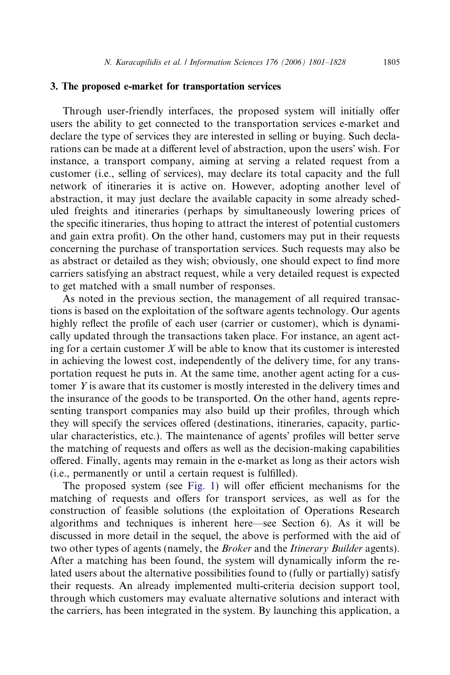## 3. The proposed e-market for transportation services

Through user-friendly interfaces, the proposed system will initially offer users the ability to get connected to the transportation services e-market and declare the type of services they are interested in selling or buying. Such declarations can be made at a different level of abstraction, upon the users' wish. For instance, a transport company, aiming at serving a related request from a customer (i.e., selling of services), may declare its total capacity and the full network of itineraries it is active on. However, adopting another level of abstraction, it may just declare the available capacity in some already scheduled freights and itineraries (perhaps by simultaneously lowering prices of the specific itineraries, thus hoping to attract the interest of potential customers and gain extra profit). On the other hand, customers may put in their requests concerning the purchase of transportation services. Such requests may also be as abstract or detailed as they wish; obviously, one should expect to find more carriers satisfying an abstract request, while a very detailed request is expected to get matched with a small number of responses.

As noted in the previous section, the management of all required transactions is based on the exploitation of the software agents technology. Our agents highly reflect the profile of each user (carrier or customer), which is dynamically updated through the transactions taken place. For instance, an agent acting for a certain customer  $X$  will be able to know that its customer is interested in achieving the lowest cost, independently of the delivery time, for any transportation request he puts in. At the same time, another agent acting for a customer Y is aware that its customer is mostly interested in the delivery times and the insurance of the goods to be transported. On the other hand, agents representing transport companies may also build up their profiles, through which they will specify the services offered (destinations, itineraries, capacity, particular characteristics, etc.). The maintenance of agents' profiles will better serve the matching of requests and offers as well as the decision-making capabilities offered. Finally, agents may remain in the e-market as long as their actors wish (i.e., permanently or until a certain request is fulfilled).

The proposed system (see [Fig. 1](#page-5-0)) will offer efficient mechanisms for the matching of requests and offers for transport services, as well as for the construction of feasible solutions (the exploitation of Operations Research algorithms and techniques is inherent here—see Section 6). As it will be discussed in more detail in the sequel, the above is performed with the aid of two other types of agents (namely, the *Broker* and the *Itinerary Builder* agents). After a matching has been found, the system will dynamically inform the related users about the alternative possibilities found to (fully or partially) satisfy their requests. An already implemented multi-criteria decision support tool, through which customers may evaluate alternative solutions and interact with the carriers, has been integrated in the system. By launching this application, a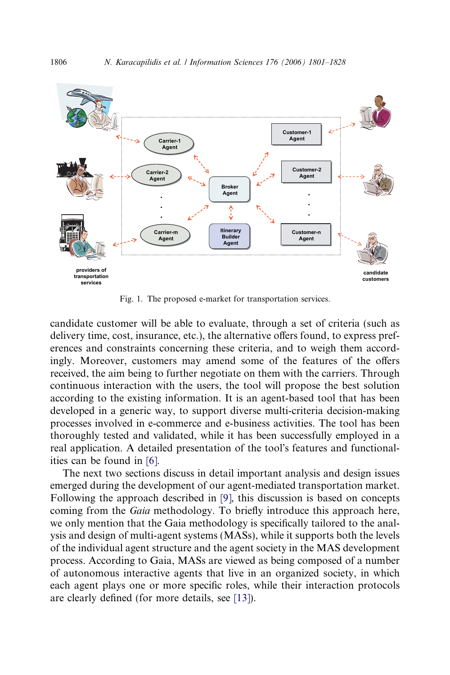

Fig. 1. The proposed e-market for transportation services.

candidate customer will be able to evaluate, through a set of criteria (such as delivery time, cost, insurance, etc.), the alternative offers found, to express preferences and constraints concerning these criteria, and to weigh them accordingly. Moreover, customers may amend some of the features of the offers received, the aim being to further negotiate on them with the carriers. Through continuous interaction with the users, the tool will propose the best solution according to the existing information. It is an agent-based tool that has been developed in a generic way, to support diverse multi-criteria decision-making processes involved in e-commerce and e-business activities. The tool has been thoroughly tested and validated, while it has been successfully employed in a real application. A detailed presentation of the tool's features and functionalities can be found in [\[6\]](#page-26-0).

The next two sections discuss in detail important analysis and design issues emerged during the development of our agent-mediated transportation market. Following the approach described in [\[9\]](#page-27-0), this discussion is based on concepts coming from the Gaia methodology. To briefly introduce this approach here, we only mention that the Gaia methodology is specifically tailored to the analysis and design of multi-agent systems (MASs), while it supports both the levels of the individual agent structure and the agent society in the MAS development process. According to Gaia, MASs are viewed as being composed of a number of autonomous interactive agents that live in an organized society, in which each agent plays one or more specific roles, while their interaction protocols are clearly defined (for more details, see [\[13\]](#page-27-0)).

<span id="page-5-0"></span>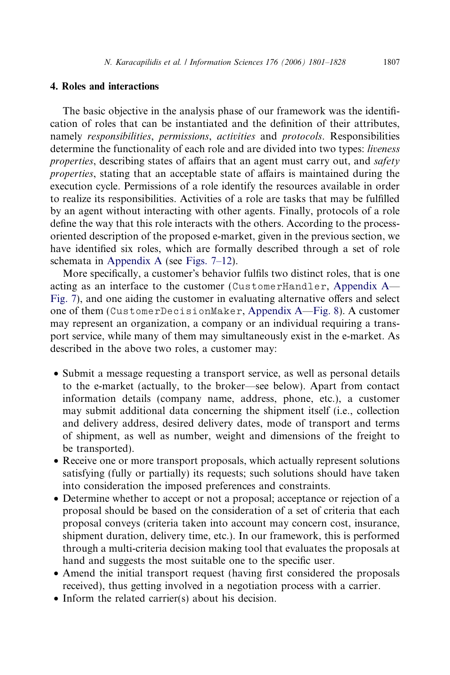## 4. Roles and interactions

The basic objective in the analysis phase of our framework was the identification of roles that can be instantiated and the definition of their attributes, namely responsibilities, permissions, activities and protocols. Responsibilities determine the functionality of each role and are divided into two types: liveness properties, describing states of affairs that an agent must carry out, and *safety* properties, stating that an acceptable state of affairs is maintained during the execution cycle. Permissions of a role identify the resources available in order to realize its responsibilities. Activities of a role are tasks that may be fulfilled by an agent without interacting with other agents. Finally, protocols of a role define the way that this role interacts with the others. According to the processoriented description of the proposed e-market, given in the previous section, we have identified six roles, which are formally described through a set of role schemata in Appendix A (see [Figs. 7–12](#page-21-0)).

More specifically, a customer's behavior fulfils two distinct roles, that is one acting as an interface to the customer (CustomerHandler, Appendix A— [Fig. 7](#page-21-0)), and one aiding the customer in evaluating alternative offers and select one of them (CustomerDecisionMaker, Appendix A—[Fig. 8\)](#page-21-0). A customer may represent an organization, a company or an individual requiring a transport service, while many of them may simultaneously exist in the e-market. As described in the above two roles, a customer may:

- Submit a message requesting a transport service, as well as personal details to the e-market (actually, to the broker—see below). Apart from contact information details (company name, address, phone, etc.), a customer may submit additional data concerning the shipment itself (i.e., collection and delivery address, desired delivery dates, mode of transport and terms of shipment, as well as number, weight and dimensions of the freight to be transported).
- Receive one or more transport proposals, which actually represent solutions satisfying (fully or partially) its requests; such solutions should have taken into consideration the imposed preferences and constraints.
- Determine whether to accept or not a proposal; acceptance or rejection of a proposal should be based on the consideration of a set of criteria that each proposal conveys (criteria taken into account may concern cost, insurance, shipment duration, delivery time, etc.). In our framework, this is performed through a multi-criteria decision making tool that evaluates the proposals at hand and suggests the most suitable one to the specific user.
- Amend the initial transport request (having first considered the proposals received), thus getting involved in a negotiation process with a carrier.
- Inform the related carrier(s) about his decision.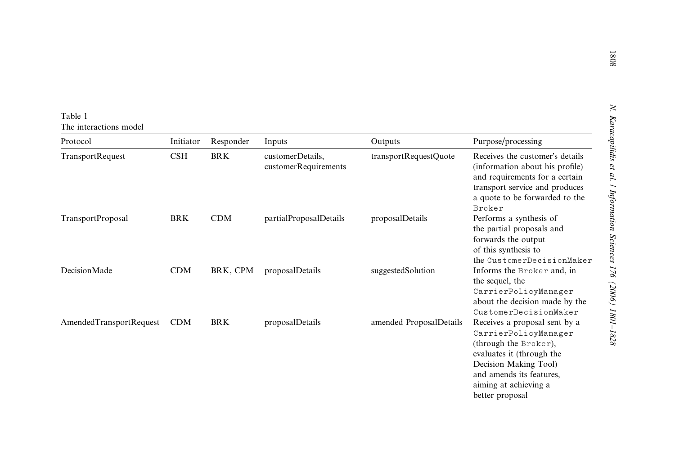<span id="page-7-0"></span>

| Table 1 |                        |  |
|---------|------------------------|--|
|         | The interactions model |  |

| Protocol                 | Initiator  | Responder  | Inputs                                   | Outputs                 | Purpose/processing                                                                                                                                                                                           |
|--------------------------|------------|------------|------------------------------------------|-------------------------|--------------------------------------------------------------------------------------------------------------------------------------------------------------------------------------------------------------|
| <b>TransportRequest</b>  | <b>CSH</b> | <b>BRK</b> | customerDetails.<br>customerRequirements | transportRequestQuote   | Receives the customer's details<br>(information about his profile)<br>and requirements for a certain<br>transport service and produces<br>a quote to be forwarded to the<br>Broker                           |
| <b>TransportProposal</b> | <b>BRK</b> | <b>CDM</b> | partialProposalDetails                   | proposalDetails         | Performs a synthesis of<br>the partial proposals and<br>forwards the output<br>of this synthesis to<br>the CustomerDecisionMaker                                                                             |
| DecisionMade             | CDM        | BRK, CPM   | proposalDetails                          | suggestedSolution       | Informs the Broker and, in<br>the sequel, the<br>CarrierPolicyManager<br>about the decision made by the<br>CustomerDecisionMaker                                                                             |
| AmendedTransportRequest  | <b>CDM</b> | <b>BRK</b> | proposalDetails                          | amended ProposalDetails | Receives a proposal sent by a<br>CarrierPolicyManager<br>(through the Broker),<br>evaluates it (through the<br>Decision Making Tool)<br>and amends its features.<br>aiming at achieving a<br>better proposal |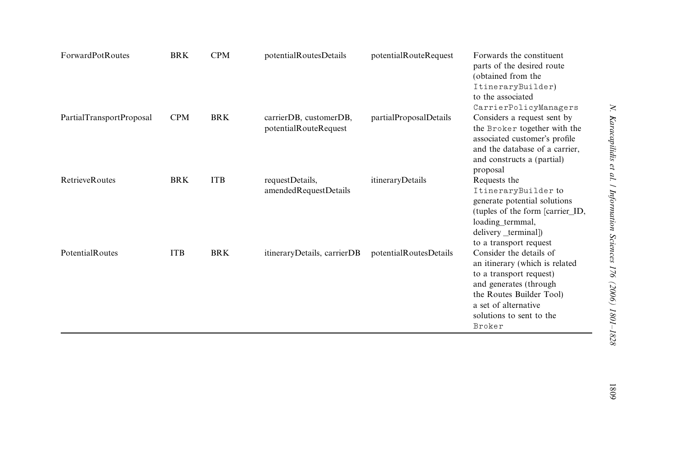| <b>ForwardPotRoutes</b>  | <b>BRK</b> | <b>CPM</b> | potentialRoutesDetails                          | potentialRouteRequest  | Forwards the constituent<br>parts of the desired route<br>(obtained from the<br>ItineraryBuilder)<br>to the associated<br>CarrierPolicyManagers                                                          |
|--------------------------|------------|------------|-------------------------------------------------|------------------------|----------------------------------------------------------------------------------------------------------------------------------------------------------------------------------------------------------|
| PartialTransportProposal | <b>CPM</b> | <b>BRK</b> | carrierDB, customerDB,<br>potentialRouteRequest | partialProposalDetails | Considers a request sent by<br>the Broker together with the<br>associated customer's profile<br>and the database of a carrier,<br>and constructs a (partial)<br>proposal                                 |
| <b>RetrieveRoutes</b>    | <b>BRK</b> | <b>ITB</b> | requestDetails,<br>amendedRequestDetails        | itineraryDetails       | Requests the<br>ItineraryBuilder to<br>generate potential solutions<br>(tuples of the form [carrier ID,<br>loading_termmal,<br>delivery terminal])<br>to a transport request                             |
| PotentialRoutes          | <b>ITB</b> | <b>BRK</b> | itineraryDetails, carrierDB                     | potentialRoutesDetails | Consider the details of<br>an itinerary (which is related<br>to a transport request)<br>and generates (through<br>the Routes Builder Tool)<br>a set of alternative<br>solutions to sent to the<br>Broker |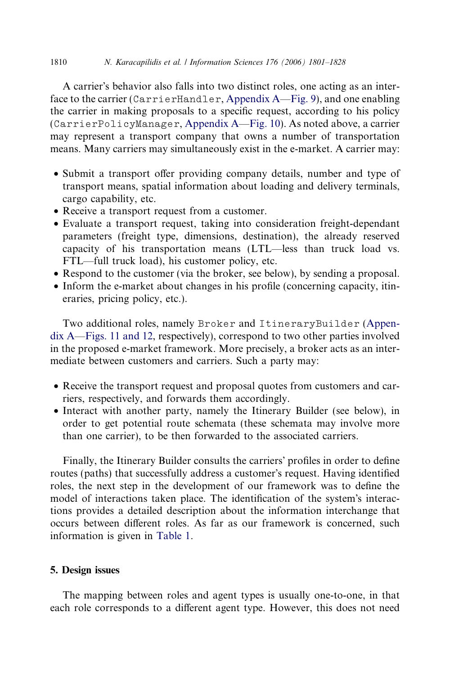A carrier's behavior also falls into two distinct roles, one acting as an interface to the carrier (CarrierHandler, Appendix A[—Fig. 9\)](#page-21-0), and one enabling the carrier in making proposals to a specific request, according to his policy (CarrierPolicyManager, Appendix A—[Fig. 10](#page-22-0)). As noted above, a carrier may represent a transport company that owns a number of transportation means. Many carriers may simultaneously exist in the e-market. A carrier may:

- Submit a transport offer providing company details, number and type of transport means, spatial information about loading and delivery terminals, cargo capability, etc.
- Receive a transport request from a customer.
- Evaluate a transport request, taking into consideration freight-dependant parameters (freight type, dimensions, destination), the already reserved capacity of his transportation means (LTL—less than truck load vs. FTL—full truck load), his customer policy, etc.
- Respond to the customer (via the broker, see below), by sending a proposal.
- Inform the e-market about changes in his profile (concerning capacity, itineraries, pricing policy, etc.).

Two additional roles, namely Broker and ItineraryBuilder (Appendix A—[Figs. 11 and 12](#page-22-0), respectively), correspond to two other parties involved in the proposed e-market framework. More precisely, a broker acts as an intermediate between customers and carriers. Such a party may:

- Receive the transport request and proposal quotes from customers and carriers, respectively, and forwards them accordingly.
- Interact with another party, namely the Itinerary Builder (see below), in order to get potential route schemata (these schemata may involve more than one carrier), to be then forwarded to the associated carriers.

Finally, the Itinerary Builder consults the carriers' profiles in order to define routes (paths) that successfully address a customer's request. Having identified roles, the next step in the development of our framework was to define the model of interactions taken place. The identification of the system's interactions provides a detailed description about the information interchange that occurs between different roles. As far as our framework is concerned, such information is given in [Table 1](#page-7-0).

# 5. Design issues

The mapping between roles and agent types is usually one-to-one, in that each role corresponds to a different agent type. However, this does not need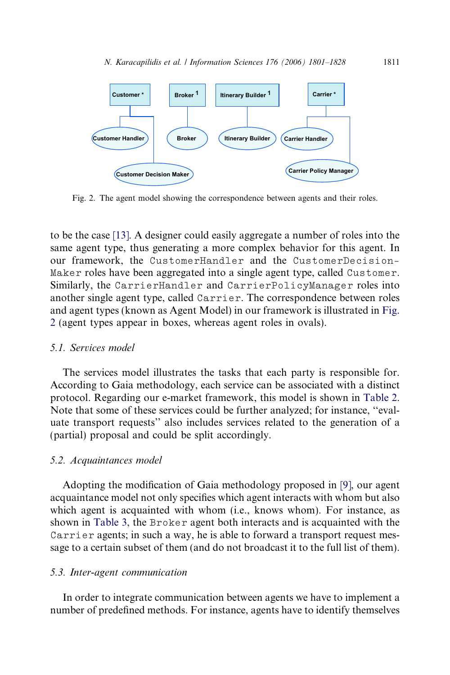

Fig. 2. The agent model showing the correspondence between agents and their roles.

to be the case [\[13\]](#page-27-0). A designer could easily aggregate a number of roles into the same agent type, thus generating a more complex behavior for this agent. In our framework, the CustomerHandler and the CustomerDecision-Maker roles have been aggregated into a single agent type, called Customer. Similarly, the CarrierHandler and CarrierPolicyManager roles into another single agent type, called Carrier. The correspondence between roles and agent types (known as Agent Model) in our framework is illustrated in Fig. 2 (agent types appear in boxes, whereas agent roles in ovals).

## 5.1. Services model

The services model illustrates the tasks that each party is responsible for. According to Gaia methodology, each service can be associated with a distinct protocol. Regarding our e-market framework, this model is shown in [Table 2](#page-11-0). Note that some of these services could be further analyzed; for instance, ''evaluate transport requests'' also includes services related to the generation of a (partial) proposal and could be split accordingly.

## 5.2. Acquaintances model

Adopting the modification of Gaia methodology proposed in [\[9\]](#page-27-0), our agent acquaintance model not only specifies which agent interacts with whom but also which agent is acquainted with whom (i.e., knows whom). For instance, as shown in [Table 3,](#page-12-0) the Broker agent both interacts and is acquainted with the Carrier agents; in such a way, he is able to forward a transport request message to a certain subset of them (and do not broadcast it to the full list of them).

#### 5.3. Inter-agent communication

In order to integrate communication between agents we have to implement a number of predefined methods. For instance, agents have to identify themselves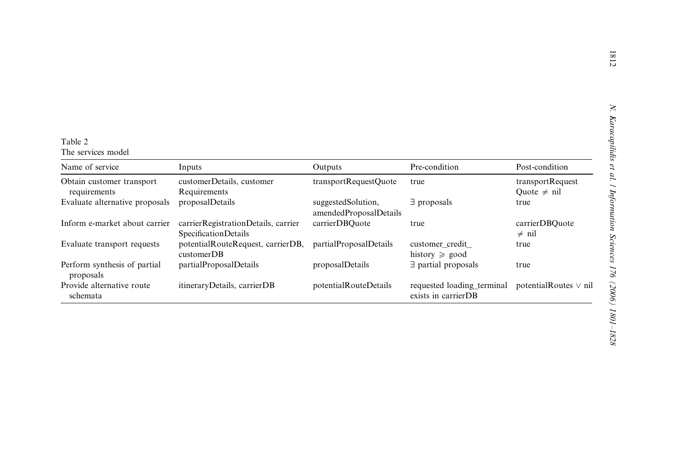<span id="page-11-0"></span>

| Table 2 |                    |  |
|---------|--------------------|--|
|         | The services model |  |

| Name of service                           | Inputs                                                               | Outputs                                      | Pre-condition                                     | Post-condition                       |
|-------------------------------------------|----------------------------------------------------------------------|----------------------------------------------|---------------------------------------------------|--------------------------------------|
| Obtain customer transport<br>requirements | customerDetails, customer<br>Requirements                            | transportRequestQuote                        | true                                              | transportRequest<br>Ouote $\neq$ nil |
| Evaluate alternative proposals            | proposalDetails                                                      | suggestedSolution,<br>amendedProposalDetails | $\exists$ proposals                               | true                                 |
| Inform e-market about carrier             | carrier Registration Details, carrier<br><b>SpecificationDetails</b> | carrierDBOuote                               | true                                              | carrierDBOuote<br>$\neq$ nil         |
| Evaluate transport requests               | potentialRouteRequest, carrierDB,<br>$\text{customerDB}$             | partialProposalDetails                       | customer credit<br>history $\ge$ good             | true                                 |
| Perform synthesis of partial<br>proposals | partialProposalDetails                                               | proposalDetails                              | $\exists$ partial proposals                       | true                                 |
| Provide alternative route<br>schemata     | itineraryDetails, carrierDB                                          | potentialRouteDetails                        | requested loading terminal<br>exists in carrierDB | potentialRoutes $\vee$ nil           |

1812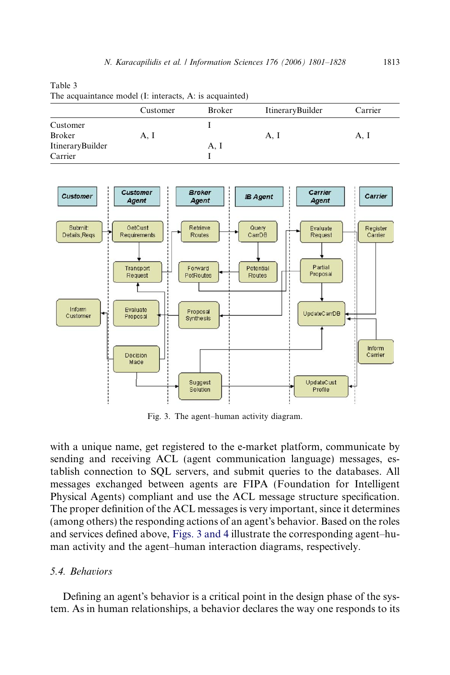|                  | Customer | <b>Broker</b> | <b>ItineraryBuilder</b> | Carrier |
|------------------|----------|---------------|-------------------------|---------|
| Customer         |          |               |                         |         |
| Broker           | A, I     |               | A, I                    | A, I    |
| ItineraryBuilder |          | A, I          |                         |         |
| Carrier          |          |               |                         |         |
|                  |          |               |                         |         |
|                  |          |               |                         |         |
|                  | Customer | <b>Broker</b> | Carrier                 |         |

<span id="page-12-0"></span>Table 3



Fig. 3. The agent–human activity diagram.

with a unique name, get registered to the e-market platform, communicate by sending and receiving ACL (agent communication language) messages, establish connection to SQL servers, and submit queries to the databases. All messages exchanged between agents are FIPA (Foundation for Intelligent Physical Agents) compliant and use the ACL message structure specification. The proper definition of the ACL messages is very important, since it determines (among others) the responding actions of an agent's behavior. Based on the roles and services defined above, Figs. 3 and 4 illustrate the corresponding agent–human activity and the agent–human interaction diagrams, respectively.

## 5.4. Behaviors

Defining an agent's behavior is a critical point in the design phase of the system. As in human relationships, a behavior declares the way one responds to its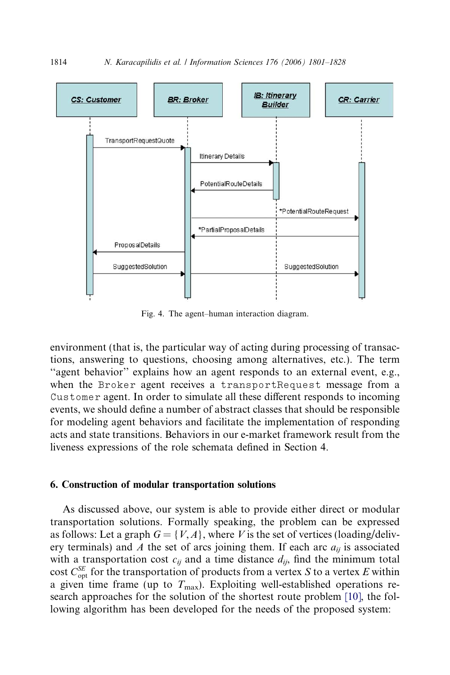

Fig. 4. The agent–human interaction diagram.

environment (that is, the particular way of acting during processing of transactions, answering to questions, choosing among alternatives, etc.). The term "agent behavior" explains how an agent responds to an external event, e.g., when the Broker agent receives a transportRequest message from a Customer agent. In order to simulate all these different responds to incoming events, we should define a number of abstract classes that should be responsible for modeling agent behaviors and facilitate the implementation of responding acts and state transitions. Behaviors in our e-market framework result from the liveness expressions of the role schemata defined in Section 4.

### 6. Construction of modular transportation solutions

As discussed above, our system is able to provide either direct or modular transportation solutions. Formally speaking, the problem can be expressed as follows: Let a graph  $G = \{V, A\}$ , where V is the set of vertices (loading/delivery terminals) and A the set of arcs joining them. If each arc  $a_{ii}$  is associated with a transportation cost  $c_{ii}$  and a time distance  $d_{ii}$ , find the minimum total cost  $C_{\text{opt}}^{SE}$  for the transportation of products from a vertex S to a vertex E within a given time frame (up to  $T_{\text{max}}$ ). Exploiting well-established operations research approaches for the solution of the shortest route problem [\[10\],](#page-27-0) the following algorithm has been developed for the needs of the proposed system: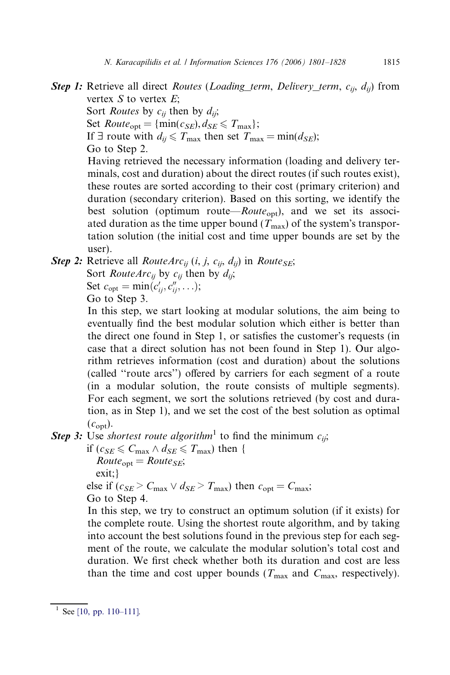- **Step 1:** Retrieve all direct *Routes* (*Loading\_term*, *Delivery\_term*,  $c_{ii}$ ,  $d_{ii}$ ) from vertex  $S$  to vertex  $E$ ; Sort *Routes* by  $c_{ij}$  then by  $d_{ij}$ ; Set  $\textit{Route}_{\text{opt}} = \{\min(c_{SE}), d_{SE} \leq T_{\text{max}}\};$ If  $\exists$  route with  $d_{ij} \leq T_{\text{max}}$  then set  $T_{\text{max}} = \min(d_{SE})$ ; Go to Step 2. Having retrieved the necessary information (loading and delivery terminals, cost and duration) about the direct routes (if such routes exist), these routes are sorted according to their cost (primary criterion) and duration (secondary criterion). Based on this sorting, we identify the best solution (optimum route— $Route_{\text{out}}$ ), and we set its associated duration as the time upper bound  $(T_{\text{max}})$  of the system's transportation solution (the initial cost and time upper bounds are set by the user).
- **Step 2:** Retrieve all *RouteArc*<sub>ij</sub> (i, j, c<sub>ij</sub>, d<sub>ij</sub>) in *Route<sub>SE</sub>*;

Sort *RowteArc<sub>ij</sub>* by 
$$
c_{ij}
$$
 then by  $d_{ij}$ ;  
Set  $c_{opt} = \min(c'_{ij}, c''_{ij}, \ldots)$ ;

Go to Step 3.

In this step, we start looking at modular solutions, the aim being to eventually find the best modular solution which either is better than the direct one found in Step 1, or satisfies the customer's requests (in case that a direct solution has not been found in Step 1). Our algorithm retrieves information (cost and duration) about the solutions (called ''route arcs'') offered by carriers for each segment of a route (in a modular solution, the route consists of multiple segments). For each segment, we sort the solutions retrieved (by cost and duration, as in Step 1), and we set the cost of the best solution as optimal  $(c_{\text{opt}})$ .

**Step 3:** Use shortest route algorithm<sup>1</sup> to find the minimum  $c_{ii}$ ;

if  $(c_{SE} \leq C_{max} \wedge d_{SE} \leq T_{max})$  then {  $Route_{opt} = Route_{SE};$ exit;} else if  $(c_{SE} > C_{\text{max}} \vee d_{SE} > T_{\text{max}})$  then  $c_{\text{opt}} = C_{\text{max}}$ ;

Go to Step 4.

In this step, we try to construct an optimum solution (if it exists) for the complete route. Using the shortest route algorithm, and by taking into account the best solutions found in the previous step for each segment of the route, we calculate the modular solution's total cost and duration. We first check whether both its duration and cost are less than the time and cost upper bounds ( $T_{\text{max}}$  and  $C_{\text{max}}$ , respectively).

 $1$  See [\[10, pp. 110–111\]](#page-27-0).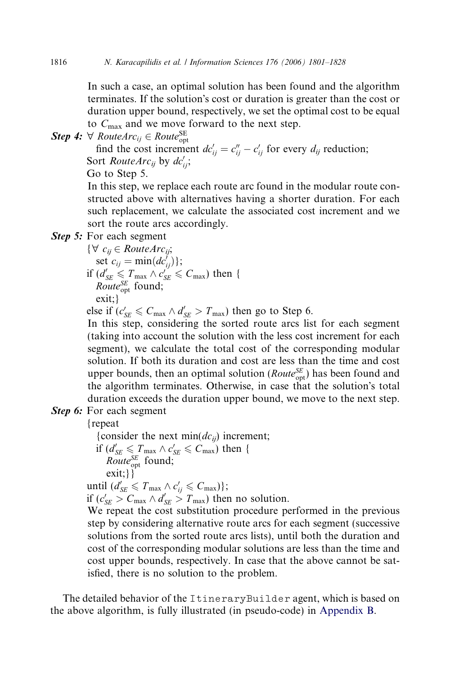In such a case, an optimal solution has been found and the algorithm terminates. If the solution's cost or duration is greater than the cost or duration upper bound, respectively, we set the optimal cost to be equal to  $C_{\text{max}}$  and we move forward to the next step.

**Step 4:**  $\forall$  RouteArc<sub>ij</sub>  $\in$  Route $_{\mathrm{opt}}^{\mathrm{SE}}$ 

find the cost increment  $dc'_{ij} = c''_{ij} - c'_{ij}$  for every  $d_{ij}$  reduction; Sort *RouteArc<sub>ij</sub>* by  $dc'_{ij}$ ;

Go to Step 5.

In this step, we replace each route arc found in the modular route constructed above with alternatives having a shorter duration. For each such replacement, we calculate the associated cost increment and we sort the route arcs accordingly.

Step 5: For each segment

$$
\{\forall \ c_{ij} \in RouteArc_{ij};\n\begin{aligned}\n\text{set } c_{ij} &= \min(d_{c'_{ij}}')\};\n\text{if } (d'_{SE} \leq T_{\text{max}} \land c'_{SE} \leq C_{\text{max}}) \text{ then }\n\text{Route}_{opt}^{\mathcal{SE}} \text{ found};\n\text{exit;}\n\end{aligned}\}
$$

else if  $(c'_{SE} \leq C_{\text{max}} \wedge d'_{SE} > T_{\text{max}})$  then go to Step 6.

In this step, considering the sorted route arcs list for each segment (taking into account the solution with the less cost increment for each segment), we calculate the total cost of the corresponding modular solution. If both its duration and cost are less than the time and cost upper bounds, then an optimal solution ( $\textit{Route}^{\textit{SE}}_{\textit{opt}}$ ) has been found and the algorithm terminates. Otherwise, in case that the solution's total duration exceeds the duration upper bound, we move to the next step. Step 6: For each segment

{repeat

{consider the next min( $dc_{ii}$ ) increment; if  $(d'_{SE} \leq T_{\text{max}} \wedge c'_{SE} \leq C_{\text{max}})$  then {

*Route<sup>SE</sup>* found; exit;}}

until  $(d'_{SE} \leq T_{\text{max}} \wedge c'_{ij} \leq C_{\text{max}})$ };

if  $(c'_{SE} > C_{max} \wedge d'_{SE} > T_{max})$  then no solution.

We repeat the cost substitution procedure performed in the previous step by considering alternative route arcs for each segment (successive solutions from the sorted route arcs lists), until both the duration and cost of the corresponding modular solutions are less than the time and cost upper bounds, respectively. In case that the above cannot be satisfied, there is no solution to the problem.

The detailed behavior of the ItineraryBuilder agent, which is based on the above algorithm, is fully illustrated (in pseudo-code) in Appendix B.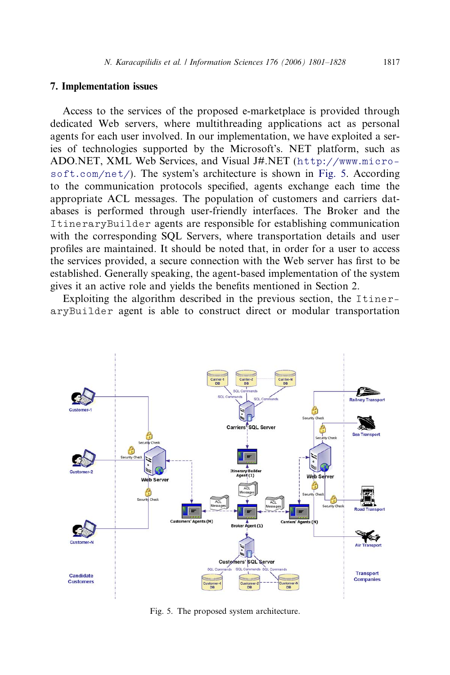## 7. Implementation issues

Access to the services of the proposed e-marketplace is provided through dedicated Web servers, where multithreading applications act as personal agents for each user involved. In our implementation, we have exploited a series of technologies supported by the Microsoft's. NET platform, such as ADO.NET, XML Web Services, and Visual J#.NET ([http://www.micro-](http://www.microsoft.com/net/) $\text{softmax}(m + 1)$ . The system's architecture is shown in Fig. 5. According to the communication protocols specified, agents exchange each time the appropriate ACL messages. The population of customers and carriers databases is performed through user-friendly interfaces. The Broker and the ItineraryBuilder agents are responsible for establishing communication with the corresponding SQL Servers, where transportation details and user profiles are maintained. It should be noted that, in order for a user to access the services provided, a secure connection with the Web server has first to be established. Generally speaking, the agent-based implementation of the system gives it an active role and yields the benefits mentioned in Section 2.

Exploiting the algorithm described in the previous section, the ItineraryBuilder agent is able to construct direct or modular transportation



Fig. 5. The proposed system architecture.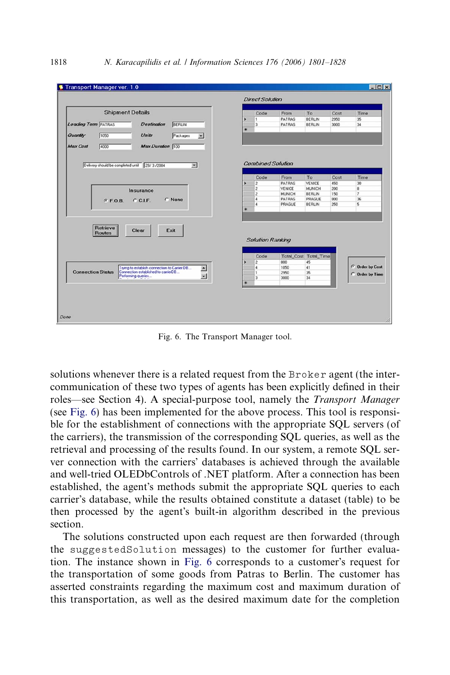|                                                                            |   | <b>Direct Solution</b>   |               |                       |      |                          |
|----------------------------------------------------------------------------|---|--------------------------|---------------|-----------------------|------|--------------------------|
| <b>Shipment Details</b>                                                    |   | Code                     | From          | To                    | Cost | Time                     |
|                                                                            | ٠ | ٠                        | <b>PATRAS</b> | BERLIN                | 2950 | 35                       |
| <b>Loading Term PATRAS</b><br><b>Destination</b><br>BERLIN                 |   | 3                        | <b>PATRAS</b> | BERLIN                | 3000 | 34                       |
| <b>Quantity</b><br>1050<br>Units<br>Packages<br>$\overline{\phantom{a}}$   | ۰ |                          |               |                       |      |                          |
|                                                                            |   |                          |               |                       |      |                          |
| Max Duration 100<br><b>Max Cost</b><br>4000                                |   |                          |               |                       |      |                          |
| Delivery should be completed until 29/ 3 /2004<br>$\overline{\phantom{a}}$ |   | <b>Combined Solution</b> |               |                       |      |                          |
|                                                                            |   |                          |               |                       |      |                          |
|                                                                            |   | Code                     | From          | To                    | Cost | Time                     |
|                                                                            |   | $\overline{c}$           | <b>PATRAS</b> | VENICE                | 450  | 30                       |
| Insurance                                                                  |   | $\overline{\mathbf{c}}$  | VENICE        | <b>MUNICH</b>         | 200  | 8                        |
|                                                                            |   | $\overline{c}$           | MUNICH        | <b>BERLIN</b>         | 150  | $\overline{\phantom{a}}$ |
| C None<br>C C.LF.<br>$G$ F.O.B.                                            |   | 4                        | <b>PATRAS</b> | PRAGUE                | 800  | 36                       |
|                                                                            |   | ٨                        | PRAGUE        | <b>BERLIN</b>         | 250  | 5                        |
|                                                                            | ٠ |                          |               |                       |      |                          |
|                                                                            |   |                          |               |                       |      |                          |
|                                                                            |   |                          |               |                       |      |                          |
| Retrieve<br>Clear<br>Exit<br><b>Routes</b>                                 |   | <b>Solution Ranking</b>  |               |                       |      |                          |
|                                                                            |   | Code                     |               | Total_Cost Total_Time |      |                          |
|                                                                            |   | $\overline{c}$           | 800           | 45                    |      |                          |
| Trying to establish connection to Carrier DB<br>$\blacksquare$             |   | 4                        | 1050          | 41                    |      | <b>G</b> Order by Cost   |
| Connection established to carrierDB                                        |   | ٠                        | 2950          | 35                    |      | <b>C</b> Order by Time   |
| <b>Connection Status</b><br>$\overline{\phantom{a}}$<br>Performing queries |   | 3                        | 3000          | 34                    |      |                          |

Fig. 6. The Transport Manager tool.

solutions whenever there is a related request from the Broker agent (the intercommunication of these two types of agents has been explicitly defined in their roles—see Section 4). A special-purpose tool, namely the Transport Manager (see Fig. 6) has been implemented for the above process. This tool is responsible for the establishment of connections with the appropriate SQL servers (of the carriers), the transmission of the corresponding SQL queries, as well as the retrieval and processing of the results found. In our system, a remote SQL server connection with the carriers' databases is achieved through the available and well-tried OLEDbControls of .NET platform. After a connection has been established, the agent's methods submit the appropriate SQL queries to each carrier's database, while the results obtained constitute a dataset (table) to be then processed by the agent's built-in algorithm described in the previous section.

The solutions constructed upon each request are then forwarded (through the suggestedSolution messages) to the customer for further evaluation. The instance shown in Fig. 6 corresponds to a customer's request for the transportation of some goods from Patras to Berlin. The customer has asserted constraints regarding the maximum cost and maximum duration of this transportation, as well as the desired maximum date for the completion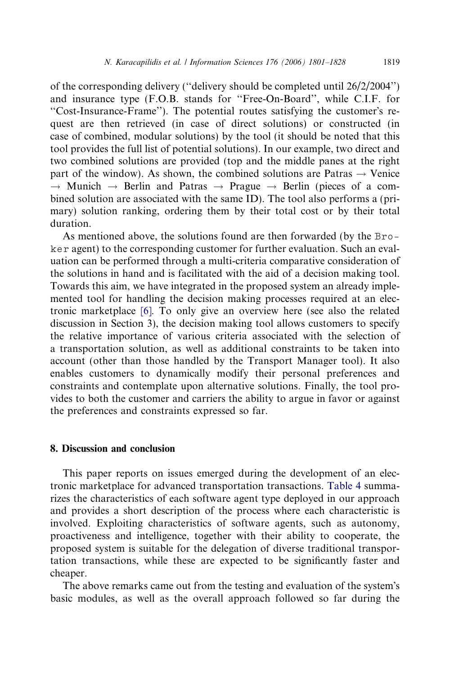of the corresponding delivery (''delivery should be completed until 26/2/2004'') and insurance type (F.O.B. stands for ''Free-On-Board'', while C.I.F. for "Cost-Insurance-Frame"). The potential routes satisfying the customer's request are then retrieved (in case of direct solutions) or constructed (in case of combined, modular solutions) by the tool (it should be noted that this tool provides the full list of potential solutions). In our example, two direct and two combined solutions are provided (top and the middle panes at the right part of the window). As shown, the combined solutions are Patras  $\rightarrow$  Venice  $\rightarrow$  Munich  $\rightarrow$  Berlin and Patras  $\rightarrow$  Prague  $\rightarrow$  Berlin (pieces of a combined solution are associated with the same ID). The tool also performs a (primary) solution ranking, ordering them by their total cost or by their total duration.

As mentioned above, the solutions found are then forwarded (by the Broker agent) to the corresponding customer for further evaluation. Such an evaluation can be performed through a multi-criteria comparative consideration of the solutions in hand and is facilitated with the aid of a decision making tool. Towards this aim, we have integrated in the proposed system an already implemented tool for handling the decision making processes required at an electronic marketplace [\[6\].](#page-26-0) To only give an overview here (see also the related discussion in Section 3), the decision making tool allows customers to specify the relative importance of various criteria associated with the selection of a transportation solution, as well as additional constraints to be taken into account (other than those handled by the Transport Manager tool). It also enables customers to dynamically modify their personal preferences and constraints and contemplate upon alternative solutions. Finally, the tool provides to both the customer and carriers the ability to argue in favor or against the preferences and constraints expressed so far.

## 8. Discussion and conclusion

This paper reports on issues emerged during the development of an electronic marketplace for advanced transportation transactions. [Table 4](#page-19-0) summarizes the characteristics of each software agent type deployed in our approach and provides a short description of the process where each characteristic is involved. Exploiting characteristics of software agents, such as autonomy, proactiveness and intelligence, together with their ability to cooperate, the proposed system is suitable for the delegation of diverse traditional transportation transactions, while these are expected to be significantly faster and cheaper.

The above remarks came out from the testing and evaluation of the system's basic modules, as well as the overall approach followed so far during the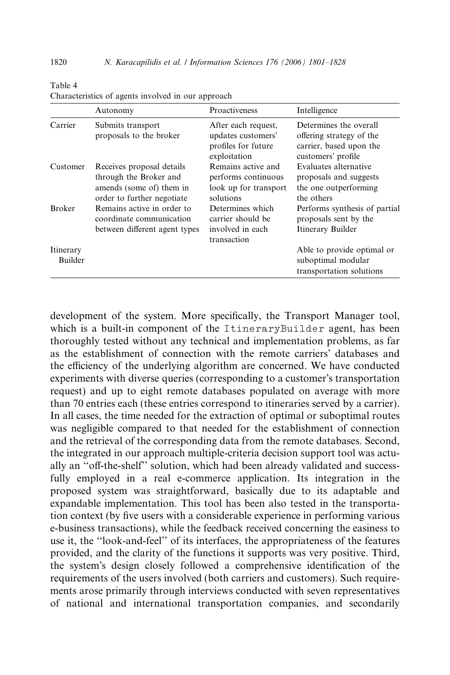|                             | Autonomy                                                                                                      | Proactiveness                                                                    | Intelligence                                                                                        |
|-----------------------------|---------------------------------------------------------------------------------------------------------------|----------------------------------------------------------------------------------|-----------------------------------------------------------------------------------------------------|
| Carrier                     | Submits transport<br>proposals to the broker                                                                  | After each request,<br>updates customers'<br>profiles for future<br>exploitation | Determines the overall<br>offering strategy of the<br>carrier, based upon the<br>customers' profile |
| Customer                    | Receives proposal details<br>through the Broker and<br>amends (some of) them in<br>order to further negotiate | Remains active and<br>performs continuous<br>look up for transport<br>solutions  | Evaluates alternative<br>proposals and suggests<br>the one outperforming<br>the others              |
| <b>Broker</b>               | Remains active in order to<br>coordinate communication<br>between different agent types                       | Determines which<br>carrier should be<br>involved in each<br>transaction         | Performs synthesis of partial<br>proposals sent by the<br>Itinerary Builder                         |
| Itinerary<br><b>Builder</b> |                                                                                                               |                                                                                  | Able to provide optimal or<br>suboptimal modular<br>transportation solutions                        |

Characteristics of agents involved in our approach

development of the system. More specifically, the Transport Manager tool, which is a built-in component of the ItineraryBuilder agent, has been thoroughly tested without any technical and implementation problems, as far as the establishment of connection with the remote carriers' databases and the efficiency of the underlying algorithm are concerned. We have conducted experiments with diverse queries (corresponding to a customer's transportation request) and up to eight remote databases populated on average with more than 70 entries each (these entries correspond to itineraries served by a carrier). In all cases, the time needed for the extraction of optimal or suboptimal routes was negligible compared to that needed for the establishment of connection and the retrieval of the corresponding data from the remote databases. Second, the integrated in our approach multiple-criteria decision support tool was actually an ''off-the-shelf'' solution, which had been already validated and successfully employed in a real e-commerce application. Its integration in the proposed system was straightforward, basically due to its adaptable and expandable implementation. This tool has been also tested in the transportation context (by five users with a considerable experience in performing various e-business transactions), while the feedback received concerning the easiness to use it, the ''look-and-feel'' of its interfaces, the appropriateness of the features provided, and the clarity of the functions it supports was very positive. Third, the system's design closely followed a comprehensive identification of the requirements of the users involved (both carriers and customers). Such requirements arose primarily through interviews conducted with seven representatives of national and international transportation companies, and secondarily

<span id="page-19-0"></span>

Table 4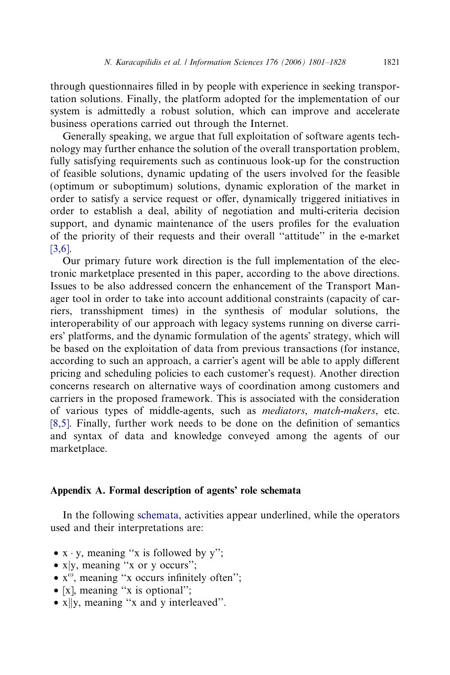through questionnaires filled in by people with experience in seeking transportation solutions. Finally, the platform adopted for the implementation of our system is admittedly a robust solution, which can improve and accelerate business operations carried out through the Internet.

Generally speaking, we argue that full exploitation of software agents technology may further enhance the solution of the overall transportation problem, fully satisfying requirements such as continuous look-up for the construction of feasible solutions, dynamic updating of the users involved for the feasible (optimum or suboptimum) solutions, dynamic exploration of the market in order to satisfy a service request or offer, dynamically triggered initiatives in order to establish a deal, ability of negotiation and multi-criteria decision support, and dynamic maintenance of the users profiles for the evaluation of the priority of their requests and their overall ''attitude'' in the e-market [\[3,6\]](#page-26-0).

Our primary future work direction is the full implementation of the electronic marketplace presented in this paper, according to the above directions. Issues to be also addressed concern the enhancement of the Transport Manager tool in order to take into account additional constraints (capacity of carriers, transshipment times) in the synthesis of modular solutions, the interoperability of our approach with legacy systems running on diverse carriers' platforms, and the dynamic formulation of the agents' strategy, which will be based on the exploitation of data from previous transactions (for instance, according to such an approach, a carrier's agent will be able to apply different pricing and scheduling policies to each customer's request). Another direction concerns research on alternative ways of coordination among customers and carriers in the proposed framework. This is associated with the consideration of various types of middle-agents, such as mediators, match-makers, etc. [\[8,5\]](#page-27-0). Finally, further work needs to be done on the definition of semantics and syntax of data and knowledge conveyed among the agents of our marketplace.

## Appendix A. Formal description of agents' role schemata

In the following [schemata](#page-21-0), activities appear underlined, while the operators used and their interpretations are:

- $x \cdot y$ , meaning "x is followed by y";
- $x|y$ , meaning "x or y occurs";
- $x^{\omega}$ , meaning "x occurs infinitely often";
- [x], meaning "x is optional";
- $x \parallel y$ , meaning "x and y interleaved".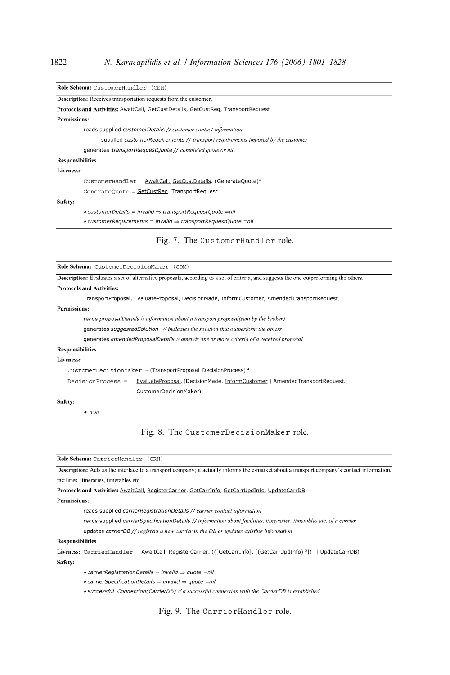| Role Schema: CustomerHandler (CSH)       |                                                                                                                                              |
|------------------------------------------|----------------------------------------------------------------------------------------------------------------------------------------------|
|                                          | <b>Description:</b> Receives transportation requests from the customer.                                                                      |
|                                          | Protocols and Activities: AwaitCall, GetCustDetails, GetCustReg, TransportRequest                                                            |
| <b>Permissions:</b>                      |                                                                                                                                              |
|                                          | reads supplied customerDetails // customer contact information                                                                               |
|                                          | supplied customerRequirements // transport requirements imposed by the customer                                                              |
|                                          | generates transportRequestQuote // completed quote or nil                                                                                    |
| <b>Responsibilities</b>                  |                                                                                                                                              |
| <b>Liveness:</b>                         |                                                                                                                                              |
|                                          | CustomerHandler = AwaitCall. GetCustDetails. (GenerateQuote) <sup>@</sup>                                                                    |
|                                          | GenerateQuote = GetCustReg. TransportRequest                                                                                                 |
| Safety:                                  |                                                                                                                                              |
|                                          | $\bullet$ customerDetails = invalid $\Rightarrow$ transportRequestQuote =nil                                                                 |
|                                          | $\bullet$ customerRequirements = invalid $\Rightarrow$ transportRequestQuote = nil                                                           |
| Role Schema: CustomerDecisionMaker (CDM) | Fig. 7. The CustomerHandler role.                                                                                                            |
|                                          |                                                                                                                                              |
| <b>Protocols and Activities:</b>         | <b>Description:</b> Evaluates a set of alternative proposals, according to a set of criteria, and suggests the one outperforming the others. |
|                                          |                                                                                                                                              |
| <b>Permissions:</b>                      | TransportProposal, EvaluateProposal, DecisionMade, InformCustomer, AmendedTransportRequest.                                                  |
|                                          | reads proposalDetails // information about a transport proposal(sent by the broker)                                                          |
|                                          | generates suggestedSolution // indicates the solution that outperform the others                                                             |
|                                          | generates amendedProposalDetails // amends one or more criteria of a received proposal                                                       |
| <b>Responsibilities</b>                  |                                                                                                                                              |
| Liveness:                                |                                                                                                                                              |
|                                          | CustomerDecisionMaker = (TransportProposal. DecisionProcess) <sup>ω</sup>                                                                    |
| DecisionProcess =                        | EvaluateProposal. (DecisionMade. InformCustomer   AmendedTransportRequest.                                                                   |
|                                          | CustomerDecisionMaker)                                                                                                                       |
| Safety:<br>• true                        |                                                                                                                                              |

Role Schema: CarrierHandler (CRH)

Description: Acts as the interface to a transport company; it actually informs the e-market about a transport company's contact information, facilities, itineraries, timetables etc.

Protocols and Activities: AwaitCall, RegisterCarrier, GetCarrInfo, GetCarrUpdInfo, UpdateCarrDB

**Permissions:** 

reads supplied carrierRegistrationDetails // carrier contact information

reads supplied carrierSpecificationDetails // information about facilities, itineraries, timetables etc. of a carrier

updates carrierDB // registers a new carrier in the DB or updates existing information

#### Responsibilities

Liveness: CarrierHandler = AwaitCall, RegisterCarrier. (([GetCarrInfo]. [(GetCarrUpdInfo) "]) || UpdateCarrDB) Safety:

• carrierRegistrationDetails = invalid  $\Rightarrow$  quote =nil

• carrierSpecificationDetails = invalid  $\Rightarrow$  quote =nil

• successful\_Connection(CarrierDB) // a successful connection with the CarrierDB is established

Fig. 9. The CarrierHandler role.

<span id="page-21-0"></span>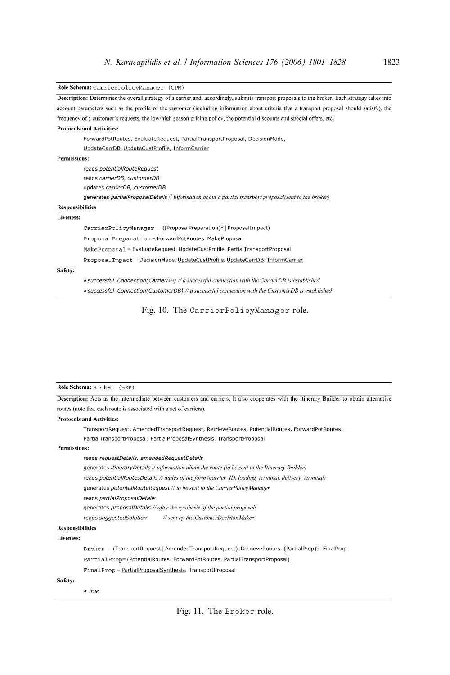<span id="page-22-0"></span>

| Role Schema: CarrierPolicyManager (CPM)                                                                                                         |
|-------------------------------------------------------------------------------------------------------------------------------------------------|
| Description: Determines the overall strategy of a carrier and, accordingly, submits transport proposals to the broker. Each strategy takes into |
| account parameters such as the profile of the customer (including information about criteria that a transport proposal should satisfy), the     |
| frequency of a customer's requests, the low/high season pricing policy, the potential discounts and special offers, etc.                        |
| <b>Protocols and Activities:</b>                                                                                                                |
| ForwardPotRoutes, EvaluateRequest, PartialTransportProposal, DecisionMade,                                                                      |
| UpdateCarrDB, UpdateCustProfile, InformCarrier                                                                                                  |
| <b>Permissions:</b>                                                                                                                             |
| reads potentialRouteRequest                                                                                                                     |
| reads carrierDB, customerDB                                                                                                                     |
| updates carrierDB, customerDB                                                                                                                   |
| qenerates partialProposalDetails // information about a partial transport proposal(sent to the broker)                                          |
| <b>Responsibilities</b>                                                                                                                         |
| Liveness:                                                                                                                                       |
| CarrierPolicyManager = ((ProposalPreparation) <sup>®</sup>   ProposalImpact)                                                                    |
| ProposalPreparation=ForwardPotRoutes.MakeProposal                                                                                               |
| MakeProposa1 = EvaluateRequest. UpdateCustProfile. PartialTransportProposal                                                                     |
| ProposalImpact = DecisionMade. UpdateCustProfile. UpdateCarrDB. InformCarrier                                                                   |
| Safety:                                                                                                                                         |
| • successful Connection(CarrierDB) // a successful connection with the CarrierDB is established                                                 |
| • successful_Connection(CustomerDB) // a successful connection with the CustomerDB is established                                               |
| Fig. 10. The CarrierPolicyManager role.                                                                                                         |

#### Role Schema: Broker (BRK)

Description: Acts as the intermediate between customers and carriers. It also cooperates with the Itinerary Builder to obtain alternative routes (note that each route is associated with a set of carriers).

#### **Protocols and Activities:**

TransportRequest, AmendedTransportRequest, RetrieveRoutes, PotentialRoutes, ForwardPotRoutes,

PartialTransportProposal, PartialProposalSynthesis, TransportProposal

#### Permissions:

reads requestDetails, amendedRequestDetails generates itineraryDetails // information about the route (to be sent to the Itinerary Builder) reads potentialRoutesDetails // tuples of the form (carrier\_ID, loading\_terminal, delivery\_terminal) generates potentialRouteRequest // to be sent to the CarrierPolicyManager reads partialProposalDetails generates proposalDetails // after the synthesis of the partial proposals reads suggestedSolution // sent by the CustomerDecisionMaker

#### **Responsibilities**

#### Liveness:

Broker = (TransportRequest | AmendedTransportRequest). RetrieveRoutes. (PartialProp)<sup>®</sup>. FinalProp

PartialProp=(PotentialRoutes. ForwardPotRoutes. PartialTransportProposal)

FinalProp = PartialProposalSynthesis. TransportProposal

#### Safety:

 $\bullet$  true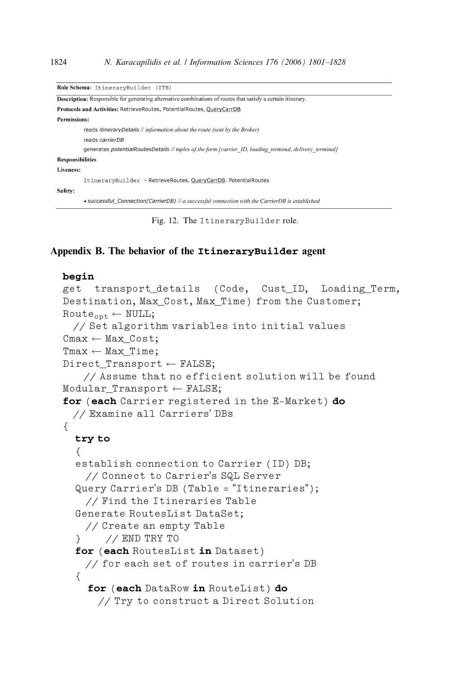| Role Schema: ItineraryBuilder (ITB)                                                                                 |
|---------------------------------------------------------------------------------------------------------------------|
| <b>Description:</b> Responsible for generating alternative combinations of routes that satisfy a certain itinerary. |
| Protocols and Activities: RetrieveRoutes, PotentialRoutes, QueryCarrDB                                              |
| Permissions:                                                                                                        |
| reads itineraryDetails // information about the route (sent by the Broker)                                          |
| reads carrierDB                                                                                                     |
| qenerates potentialRoutesDetails // tuples of the form [carrier ID, loading terminal, delivery terminal]            |
| <b>Responsibilities</b>                                                                                             |
| Liveness:                                                                                                           |
| ItineraryBuilder = RetrieveRoutes. QueryCarrDB. PotentialRoutes                                                     |
| Safety:                                                                                                             |
| $\bullet$ successful Connection(CarrierDB) // a successful connection with the CarrierDB is established             |

|  |  |  |  | Fig. 12. The ItineraryBuilder role. |  |  |
|--|--|--|--|-------------------------------------|--|--|
|--|--|--|--|-------------------------------------|--|--|

## Appendix B. The behavior of the ItineraryBuilder agent

### begin

```
get transport details (Code, Cust ID, Loading Term,
Destination, Max_Cost, Max_Time) from the Customer;
Route<sub>opt</sub> \leftarrow NULL;
  // Set algorithm variables into initial values
Cmax \leftarrow Max\_Cost;Tmax \leftarrow Max\_Time;Direct_Transport \leftarrow FALSE;// Assume that no efficient solution will be found
Modular Transport \leftarrow FALSE;
for (each Carrier registered in the E-Market) do
 // Examine all Carriers' DBs
{
  try to
  {
  establish connection to Carrier (ID) DB;
    // Connect to Carrier's SQL Server
  Query Carrier's DB (Table = "Itineraries");
    // Find the Itineraries Table
  Generate RoutesList DataSet;
    // Create an empty Table
  } // END TRY TO
  for (each RoutesList in Dataset)
    // for each set of routes in carrier's DB
  {
    for (each DataRow in RouteList) do
      // Try to construct a Direct Solution
```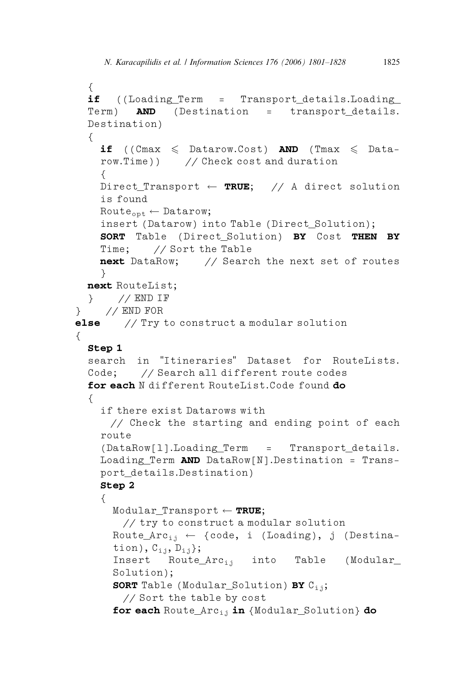```
{
  if ((Loading Term = Transport_details.Loading
  Term) AND (Destination = transport_details.
  Destination)
  {
    if ((Cmax \leq Datarow.Cost) AND (Tmax \leq Data-
    row.Time)) // Check cost and duration
    {
    Direct_Transport \leftarrow TRUE; // A direct solution
    is found
    \text{Route}_{\text{on+}} \leftarrow \text{Datarow};insert (Datarow) into Table (Direct Solution);
    SORT Table (Direct_Solution) BY Cost THEN BY
    Time; // Sort the Table
    next DataRow; // Search the next set of routes
    }
  next RouteList;
  } // END IF
} // END FOR
else // Try to construct a modular solution{
  Step 1
  search in "Itineraries" Dataset for RouteLists.
  Code; // Search all different route codes
  for each N different RouteList.Code found do
  {
    if there exist Datarows with
     // Check the starting and ending point of each
    route
    (DataRow[1].Loading_Term = Transport_details.
    Loading_Term AND DataRow[N].Destination = Trans-
    port details.Destination)
    Step 2
    {
      Modular_Transport \leftarrow TRUE;// try to construct a modular solution
      Route_Arc<sub>ij</sub> \leftarrow {code, i (Loading), j (Destina-
      tion), C_{i,j}, D_{i,j};
      Insert Route_Arc<sub>ij</sub> into Table (Modular
      Solution);
      SORT Table (Modular_Solution) BY C_{i,j};
        // Sort the table by cost
      for each Route_Arc<sub>ii</sub> in {Modular_Solution} do
```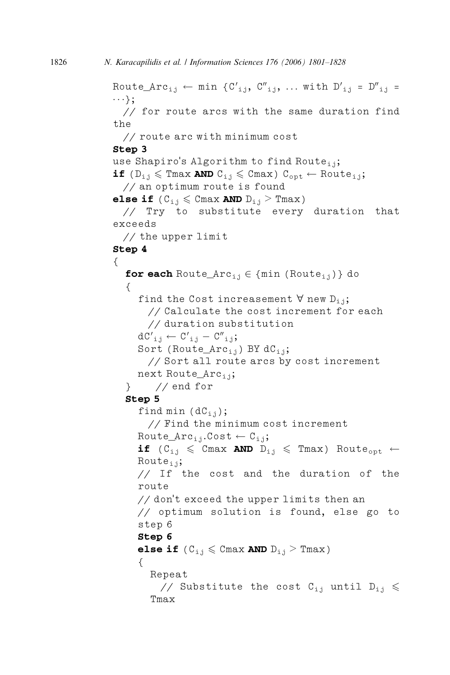```
Route_Arc_{\text{i}\, \text{j}} \leftarrow min {C'<sub>ij</sub>, C"<sub>ij</sub>, ... with D'<sub>ij</sub> = D"<sub>ij</sub> =
\cdots};
  // for route arcs with the same duration find
tha// route arc with minimum cost
Step 3
use Shapiro's Algorithm to find Route<sub>ii</sub>;
if (D_{i,j} \leqslant Tmax AND C_{i,j} \leqslant Cmax) C_{opt} \leftarrow Route<sub>ij</sub>;
  // an optimum route is found
else if (C_{i,j} \leq C_{max} AND D_{i,j} > T_{max})
  // Try to substitute every duration that
exceeds
  // the upper limit
Step 4
{
   for each Route_Arc<sub>ij</sub> \in {min (Route<sub>ij</sub>)} do
   {
      find the Cost increasement \forall new D_{i,j};
        // Calculate the cost increment for each
        // duration substitution
      dC'_{ij} \leftarrow C'_{ij} - C''_{ij};Sort (Route_Arc<sub>ij</sub>) BY dC_{ij};
        // Sort all route arcs by cost increment
     next Route_Arc<sub>ij</sub>;
   } // end for
  Step 5
      find min (dC_{i,j});
        // Find the minimum cost increment
     Route_Arc<sub>ii</sub>.Cost \leftarrow C<sub>ij</sub>;
     if (C_{i,j} \leqslant C_{\text{max}} AND D_{i,j} \leqslant T_{\text{max}} Route<sub>opt</sub> \leftarrowRoute_{i,j};
     // If the cost and the duration of the
     route
     \frac{1}{4} don't exceed the upper limits then an
     // optimum solution is found, else go to
     step 6
     Step 6
     else if (C_{i,j} \leqslant Cmax AND D_{i,j} > Tmax)
      {
        Repeat
           // Substitute the cost C_{ij} until D_{ij} \leqTmax
```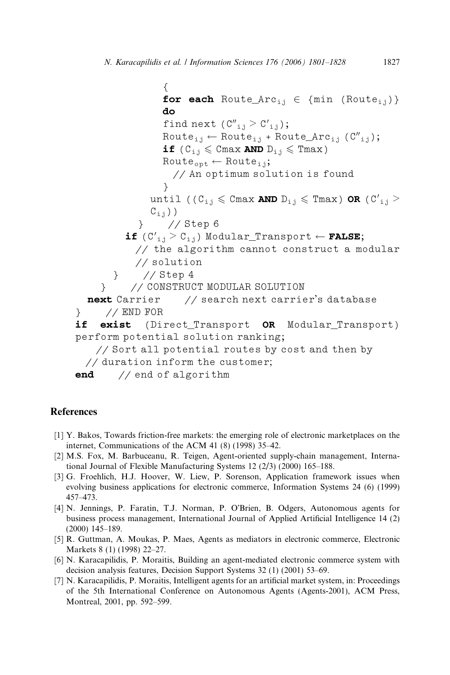```
{
                     for each Route_Arc<sub>ij</sub> \in {min (Route<sub>ij</sub>)}
                     do
                     find next (C''_{i,j} > C'_{i,j});
                     \texttt{Route}_{\texttt{ij}} \leftarrow \texttt{Route}_{\texttt{ij}} + \texttt{Route\_Arc}_{\texttt{ij}} (C{''}_\texttt{ij});
                     if (C_{i,j} \leqslant C \max AND D_{i,j} \leqslant T \max)
                     \text{Route}_{\text{opt}} \leftarrow \text{Route}_{i,j};// An optimum solution is found
                     }
                  until ((C_{i,j} \leqslant Cmax AND D_{i,j} \leqslant Tmax) OR (C'_{i,j} >
                  C_{i,j}))
               } // Step 6
            if (\mathtt{C'}_{\mathtt{i}\mathtt{j}}>\mathtt{C}_{\mathtt{i}\mathtt{j}}) Modular_Transport \leftarrow FALSE;
              // the algorithm cannot construct a modular
              // solution
         } // Step 4
      } // CONSTRUCT MODULAR SOLUTION
   next Carrier ( \frac{1}{3} search next carrier's database
} // END FOR
if exist (Direct_Transport OR Modular_Transport)
perform potential solution ranking;
     // Sort all potential routes by cost and then by
  // duration inform the customer;
end // end of algorithm
```
## References

- [1] Y. Bakos, Towards friction-free markets: the emerging role of electronic marketplaces on the internet, Communications of the ACM 41 (8) (1998) 35–42.
- [2] M.S. Fox, M. Barbuceanu, R. Teigen, Agent-oriented supply-chain management, International Journal of Flexible Manufacturing Systems 12 (2/3) (2000) 165–188.
- [3] G. Froehlich, H.J. Hoover, W. Liew, P. Sorenson, Application framework issues when evolving business applications for electronic commerce, Information Systems 24 (6) (1999) 457–473.
- [4] N. Jennings, P. Faratin, T.J. Norman, P. O'Brien, B. Odgers, Autonomous agents for business process management, International Journal of Applied Artificial Intelligence 14 (2) (2000) 145–189.
- [5] R. Guttman, A. Moukas, P. Maes, Agents as mediators in electronic commerce, Electronic Markets 8 (1) (1998) 22–27.
- [6] N. Karacapilidis, P. Moraitis, Building an agent-mediated electronic commerce system with decision analysis features, Decision Support Systems 32 (1) (2001) 53–69.
- [7] N. Karacapilidis, P. Moraitis, Intelligent agents for an artificial market system, in: Proceedings of the 5th International Conference on Autonomous Agents (Agents-2001), ACM Press, Montreal, 2001, pp. 592–599.